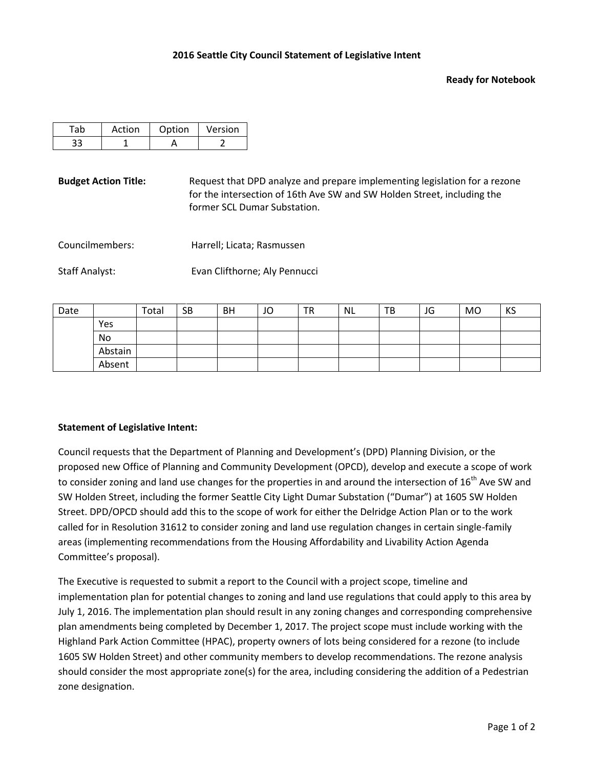## **Ready for Notebook**

| Action | Option | Version |
|--------|--------|---------|
|        |        |         |

**Budget Action Title:** Request that DPD analyze and prepare implementing legislation for a rezone for the intersection of 16th Ave SW and SW Holden Street, including the former SCL Dumar Substation.

Councilmembers: Harrell; Licata; Rasmussen

Staff Analyst: Evan Clifthorne; Aly Pennucci

| Date |         | Total | <b>SB</b> | <b>BH</b> | JO | <b>TR</b> | <b>NL</b> | TB | JG | <b>MO</b> | KS |
|------|---------|-------|-----------|-----------|----|-----------|-----------|----|----|-----------|----|
|      | Yes     |       |           |           |    |           |           |    |    |           |    |
|      | No      |       |           |           |    |           |           |    |    |           |    |
|      | Abstain |       |           |           |    |           |           |    |    |           |    |
|      | Absent  |       |           |           |    |           |           |    |    |           |    |

## **Statement of Legislative Intent:**

Council requests that the Department of Planning and Development's (DPD) Planning Division, or the proposed new Office of Planning and Community Development (OPCD), develop and execute a scope of work to consider zoning and land use changes for the properties in and around the intersection of  $16<sup>th</sup>$  Ave SW and SW Holden Street, including the former Seattle City Light Dumar Substation ("Dumar") at 1605 SW Holden Street. DPD/OPCD should add this to the scope of work for either the Delridge Action Plan or to the work called for in Resolution 31612 to consider zoning and land use regulation changes in certain single-family areas (implementing recommendations from the Housing Affordability and Livability Action Agenda Committee's proposal).

The Executive is requested to submit a report to the Council with a project scope, timeline and implementation plan for potential changes to zoning and land use regulations that could apply to this area by July 1, 2016. The implementation plan should result in any zoning changes and corresponding comprehensive plan amendments being completed by December 1, 2017. The project scope must include working with the Highland Park Action Committee (HPAC), property owners of lots being considered for a rezone (to include 1605 SW Holden Street) and other community members to develop recommendations. The rezone analysis should consider the most appropriate zone(s) for the area, including considering the addition of a Pedestrian zone designation.